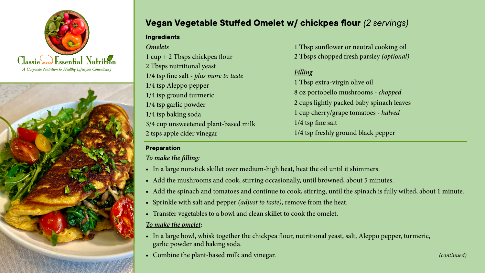



# **Vegan Vegetable Stuffed Omelet w/ chickpea flour** *(2 servings)*

#### **Ingredients**

*Omelets*  1 cup + 2 Tbsps chickpea flour 2 Tbsps nutritional yeast 1/4 tsp fine salt - *plus more to taste* 1/4 tsp Aleppo pepper 1/4 tsp ground turmeric 1/4 tsp garlic powder 1/4 tsp baking soda 3/4 cup unsweetened plant-based milk 2 tsps apple cider vinegar

1 Tbsp sunflower or neutral cooking oil 2 Tbsps chopped fresh parsley *(optional)*

#### *Filling*

1 Tbsp extra-virgin olive oil 8 oz portobello mushrooms - *chopped* 2 cups lightly packed baby spinach leaves 1 cup cherry/grape tomatoes - *halved* 1/4 tsp fine salt 1/4 tsp freshly ground black pepper

# **Preparation**

## *To make the filling:*

- In a large nonstick skillet over medium-high heat, heat the oil until it shimmers.
- Add the mushrooms and cook, stirring occasionally, until browned, about 5 minutes.
- Add the spinach and tomatoes and continue to cook, stirring, until the spinach is fully wilted, about 1 minute.
- • Sprinkle with salt and pepper *(adjust to taste)*, remove from the heat.
- Transfer vegetables to a bowl and clean skillet to cook the omelet.

### *To make the omelet:*

- In a large bowl, whisk together the chickpea flour, nutritional yeast, salt, Aleppo pepper, turmeric, garlic powder and baking soda.
- Combine the plant-based milk and vinegar. *Combine the plant-based milk and vinegar. (continued)*